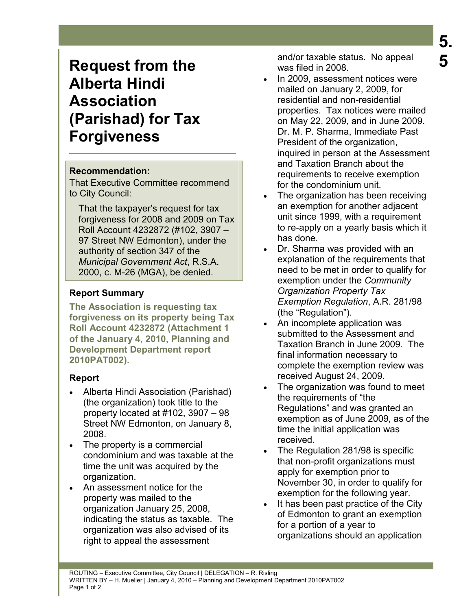# **Request from the Alberta Hindi Association (Parishad) for Tax Forgiveness**

#### **Recommendation:**

That Executive Committee recommend to City Council:

That the taxpayer's request for tax forgiveness for 2008 and 2009 on Tax Roll Account 4232872 (#102, 3907 – 97 Street NW Edmonton), under the authority of section 347 of the *Municipal Government Act*, R.S.A. 2000, c. M-26 (MGA), be denied.

## **Report Summary**

**The Association is requesting tax forgiveness on its property being Tax Roll Account 4232872 (Attachment 1 of the January 4, 2010, Planning and Development Department report 2010PAT002).** 

## **Report**

- Alberta Hindi Association (Parishad) (the organization) took title to the property located at #102, 3907 – 98 Street NW Edmonton, on January 8, 2008.
- The property is a commercial condominium and was taxable at the time the unit was acquired by the organization.
- An assessment notice for the property was mailed to the organization January 25, 2008, indicating the status as taxable. The organization was also advised of its right to appeal the assessment

and/or taxable status. No appeal was filed in 2008.

- In 2009, assessment notices were mailed on January 2, 2009, for residential and non-residential properties. Tax notices were mailed on May 22, 2009, and in June 2009. Dr. M. P. Sharma, Immediate Past President of the organization, inquired in person at the Assessment and Taxation Branch about the requirements to receive exemption for the condominium unit.
- The organization has been receiving an exemption for another adjacent unit since 1999, with a requirement to re-apply on a yearly basis which it has done.
- Dr. Sharma was provided with an explanation of the requirements that need to be met in order to qualify for exemption under the *Community Organization Property Tax Exemption Regulation*, A.R. 281/98 (the "Regulation").
- An incomplete application was submitted to the Assessment and Taxation Branch in June 2009. The final information necessary to complete the exemption review was received August 24, 2009.
- The organization was found to meet the requirements of "the Regulations" and was granted an exemption as of June 2009, as of the time the initial application was received.
- The Regulation 281/98 is specific that non-profit organizations must apply for exemption prior to November 30, in order to qualify for exemption for the following year.
- It has been past practice of the City of Edmonton to grant an exemption for a portion of a year to organizations should an application